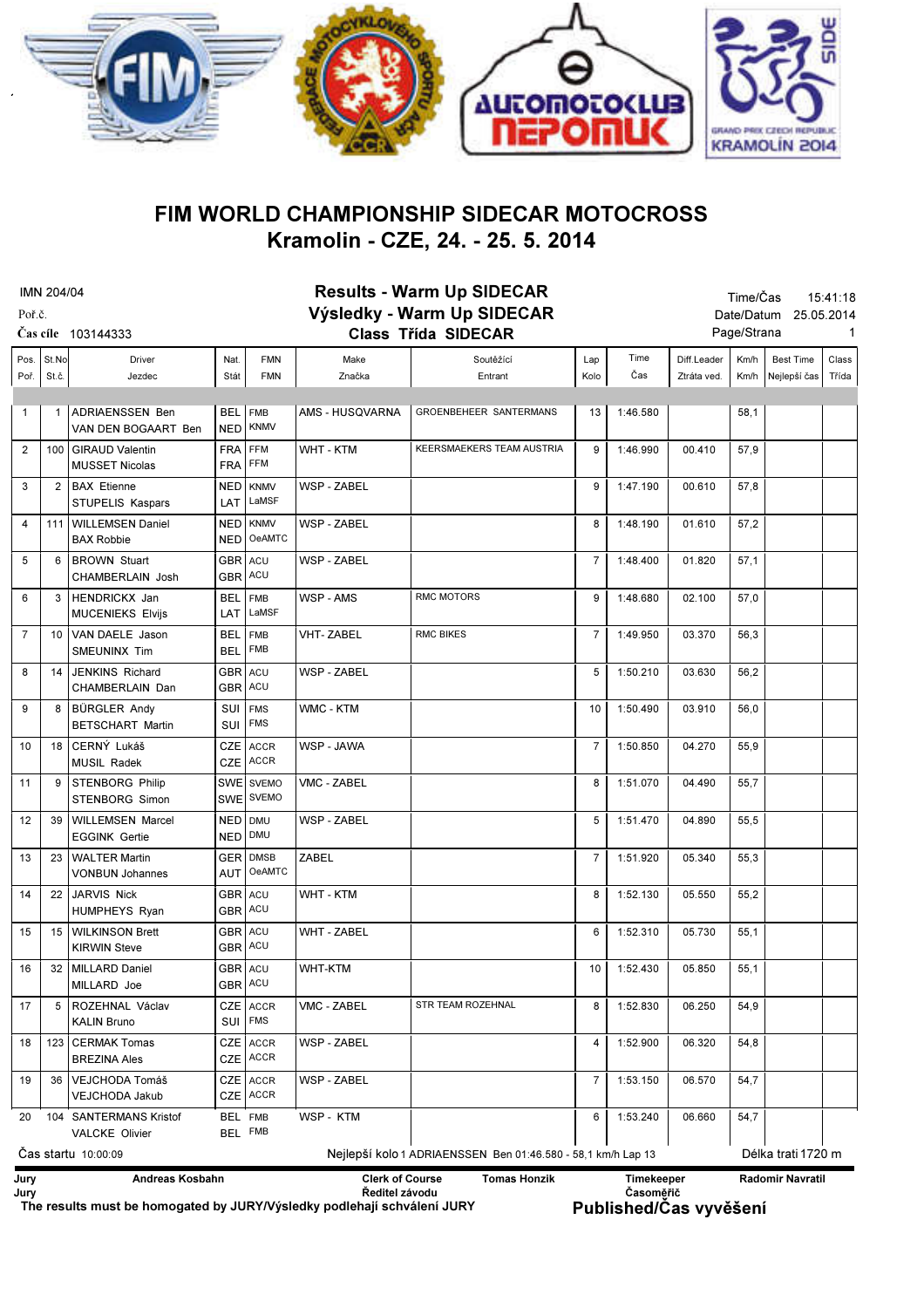

## Kramolin - CZE, 24. - 25. 5. 2014 FIM WORLD CHAMPIONSHIP SIDECAR MOTOCROSS

| <b>IMN 204/04</b>   |                |                                                 |                          | <b>Results - Warm Up SIDECAR</b>                             |                    |                            |                |          | Time/Čas<br>15:41:18     |             |                                                                                                                                                                                                                        |       |  |  |  |  |  |
|---------------------|----------------|-------------------------------------------------|--------------------------|--------------------------------------------------------------|--------------------|----------------------------|----------------|----------|--------------------------|-------------|------------------------------------------------------------------------------------------------------------------------------------------------------------------------------------------------------------------------|-------|--|--|--|--|--|
| Poř.č.              |                |                                                 |                          | Výsledky - Warm Up SIDECAR                                   |                    |                            |                |          | Date/Datum<br>25.05.2014 |             |                                                                                                                                                                                                                        |       |  |  |  |  |  |
| Čas cíle 103144333  |                |                                                 |                          |                                                              |                    | <b>Class Třída SIDECAR</b> |                |          |                          | Page/Strana |                                                                                                                                                                                                                        | 1     |  |  |  |  |  |
| Pos.                | St.No          | <b>Driver</b>                                   | Nat.                     | <b>FMN</b>                                                   | Make               | Soutěžící                  | Lap            | Time     | Diff.Leader              | Km/h        | <b>Best Time</b>                                                                                                                                                                                                       | Class |  |  |  |  |  |
| Poř.                | St.č.          | Jezdec                                          | Stát                     | <b>FMN</b>                                                   | Značka             | Entrant                    | Kolo           | Čas      | Ztráta ved.              | Km/h        | Nejlepší čas                                                                                                                                                                                                           | Třída |  |  |  |  |  |
| 1                   | 1              | ADRIAENSSEN Ben<br>VAN DEN BOGAART Ben          | <b>BEL</b><br><b>NED</b> | <b>FMB</b><br><b>KNMV</b>                                    | AMS - HUSQVARNA    | GROENBEHEER SANTERMANS     | 13             | 1:46.580 |                          | 58,1        |                                                                                                                                                                                                                        |       |  |  |  |  |  |
| 2                   |                | 100   GIRAUD Valentin<br><b>MUSSET Nicolas</b>  | <b>FRA</b><br><b>FRA</b> | FFM<br>FFM                                                   | WHT - KTM          | KEERSMAEKERS TEAM AUSTRIA  | 9              | 1:46.990 | 00.410                   | 57,9        |                                                                                                                                                                                                                        |       |  |  |  |  |  |
| 3                   |                | 2 BAX Etienne<br>STUPELIS Kaspars               | NED<br>LAT               | <b>KNMV</b><br>LaMSF                                         | <b>WSP - ZABEL</b> |                            | 9              | 1:47.190 | 00.610                   | 57,8        |                                                                                                                                                                                                                        |       |  |  |  |  |  |
| $\overline{4}$      |                | 111   WILLEMSEN Daniel<br><b>BAX Robbie</b>     | NED<br><b>NED</b>        | <b>KNMV</b><br>OeAMTC                                        | <b>WSP - ZABEL</b> |                            | 8              | 1:48.190 | 01.610                   | 57,2        |                                                                                                                                                                                                                        |       |  |  |  |  |  |
| 5                   |                | 6   BROWN Stuart<br>CHAMBERLAIN Josh            | GBR ACU<br><b>GBR</b>    | ACU                                                          | <b>WSP - ZABEL</b> |                            | $\overline{7}$ | 1:48.400 | 01.820                   | 57,1        |                                                                                                                                                                                                                        |       |  |  |  |  |  |
| 6                   |                | 3   HENDRICKX Jan<br><b>MUCENIEKS Elvijs</b>    | BEL.<br><b>LAT</b>       | <b>FMB</b><br>LaMSF                                          | WSP - AMS          | <b>RMC MOTORS</b>          | 9              | 1:48.680 | 02.100                   | 57,0        |                                                                                                                                                                                                                        |       |  |  |  |  |  |
| $\overline{7}$      |                | 10 VAN DAELE Jason<br><b>SMEUNINX Tim</b>       | <b>BEL</b><br><b>BEL</b> | <b>FMB</b><br><b>FMB</b>                                     | <b>VHT-ZABEL</b>   | <b>RMC BIKES</b>           | 7              | 1:49.950 | 03.370                   | 56,3        |                                                                                                                                                                                                                        |       |  |  |  |  |  |
| 8                   | 14             | JENKINS Richard<br>CHAMBERLAIN Dan              | GBR ACU<br>GBR ACU       |                                                              | <b>WSP - ZABEL</b> |                            | 5              | 1:50.210 | 03.630                   | 56,2        |                                                                                                                                                                                                                        |       |  |  |  |  |  |
| 9                   |                | 8   BÜRGLER Andy<br><b>BETSCHART Martin</b>     | SUI<br>SUI               | <b>FMS</b><br><b>FMS</b>                                     | WMC - KTM          |                            | 10             | 1:50.490 | 03.910                   | 56,0        |                                                                                                                                                                                                                        |       |  |  |  |  |  |
| 10                  |                | 18 CERNÝ Lukáš<br><b>MUSIL Radek</b>            | <b>CZE</b><br>CZE        | <b>ACCR</b><br><b>ACCR</b>                                   | WSP - JAWA         |                            | 7              | 1:50.850 | 04.270                   | 55,9        |                                                                                                                                                                                                                        |       |  |  |  |  |  |
| 11                  |                | 9 STENBORG Philip<br>STENBORG Simon             | <b>SWE</b><br><b>SWE</b> | <b>SVEMO</b><br><b>SVEMO</b>                                 | VMC - ZABEL        |                            | 8              | 1:51.070 | 04.490                   | 55,7        |                                                                                                                                                                                                                        |       |  |  |  |  |  |
| 12                  |                | 39   WILLEMSEN Marcel<br><b>EGGINK Gertie</b>   | <b>NED</b><br><b>NED</b> | <b>DMU</b><br>DMU                                            | <b>WSP - ZABEL</b> |                            | 5              | 1:51.470 | 04.890                   | 55,5        |                                                                                                                                                                                                                        |       |  |  |  |  |  |
| 13                  |                | 23   WALTER Martin<br><b>VONBUN Johannes</b>    | GER<br>AUT               | <b>DMSB</b><br><b>OeAMTC</b>                                 | ZABEL              |                            | $\overline{7}$ | 1:51.920 | 05.340                   | 55,3        |                                                                                                                                                                                                                        |       |  |  |  |  |  |
| 14                  |                | 22 JARVIS Nick<br><b>HUMPHEYS Ryan</b>          | GBR ACU                  | GBR ACU                                                      | <b>WHT - KTM</b>   |                            | 8              | 1:52.130 | 05.550                   | 55,2        |                                                                                                                                                                                                                        |       |  |  |  |  |  |
| 15                  |                | 15 WILKINSON Brett<br><b>KIRWIN Steve</b>       | GBR ACU                  | GBR ACU                                                      | <b>WHT - ZABEL</b> |                            | 6              | 1:52.310 | 05.730                   | 55,1        |                                                                                                                                                                                                                        |       |  |  |  |  |  |
| 16                  |                | 32   MILLARD Daniel<br>MILLARD Joe              | GBR ACU<br>GBR ACU       |                                                              | <b>WHT-KTM</b>     |                            | 10             | 1:52.430 | 05.850                   | 55,1        |                                                                                                                                                                                                                        |       |  |  |  |  |  |
| 17                  | 5 <sup>1</sup> | ROZEHNAL Václav<br><b>KALIN Bruno</b>           | SUI                      | CZE ACCR<br><b>FMS</b>                                       | VMC - ZABEL        | STR TEAM ROZEHNAL          | 8              | 1:52.830 | 06.250                   | 54,9        |                                                                                                                                                                                                                        |       |  |  |  |  |  |
| 18                  |                | 123   CERMAK Tomas<br><b>BREZINA Ales</b>       |                          | CZE ACCR<br>CZE ACCR                                         | WSP - ZABEL        |                            | 4              | 1:52.900 | 06.320                   | 54,8        |                                                                                                                                                                                                                        |       |  |  |  |  |  |
| 19                  | 36             | VEJCHODA Tomáš<br><b>VEJCHODA Jakub</b>         | <b>CZE</b>               | CZE ACCR<br><b>ACCR</b>                                      | WSP - ZABEL        |                            | 7              | 1:53.150 | 06.570                   | 54,7        |                                                                                                                                                                                                                        |       |  |  |  |  |  |
| 20                  |                | 104 SANTERMANS Kristof<br><b>VALCKE Olivier</b> | BEL FMB<br>BEL FMB       |                                                              | WSP - KTM          |                            | 6              | 1:53.240 | 06.660                   | 54,7        |                                                                                                                                                                                                                        |       |  |  |  |  |  |
| Cas startu 10:00:09 |                |                                                 |                          | Nejlepší kolo 1 ADRIAENSSEN Ben 01:46.580 - 58,1 km/h Lap 13 |                    |                            |                |          | Délka trati 1720 m       |             |                                                                                                                                                                                                                        |       |  |  |  |  |  |
| Jury<br>Jury        |                |                                                 |                          |                                                              |                    | <b>Tomas Honzik</b>        |                |          |                          |             | Andreas Kosbahn<br><b>Clerk of Course</b><br>Radomir Navratil<br><b>Timekeeper</b><br>Časoměřič<br>Ředitel závodu<br>The results must be homogated by JURY/Výsledky podlehají schválení JURY<br>Published/Čas vyvěšení |       |  |  |  |  |  |